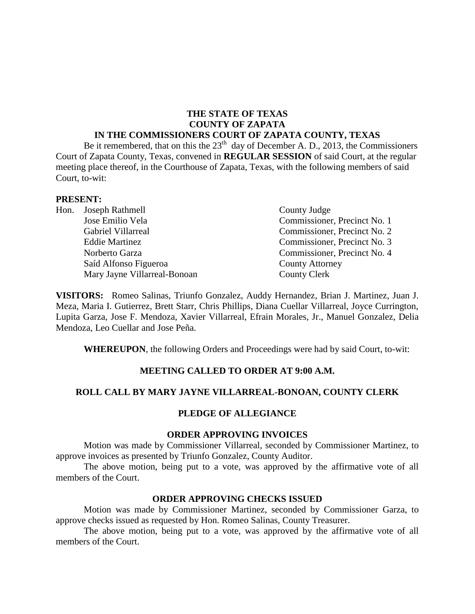#### **THE STATE OF TEXAS COUNTY OF ZAPATA IN THE COMMISSIONERS COURT OF ZAPATA COUNTY, TEXAS**

Be it remembered, that on this the  $23<sup>th</sup>$  day of December A. D., 2013, the Commissioners Court of Zapata County, Texas, convened in **REGULAR SESSION** of said Court, at the regular meeting place thereof, in the Courthouse of Zapata, Texas, with the following members of said Court, to-wit:

#### **PRESENT:**

|  | Hon. Joseph Rathmell         | County Judge                 |
|--|------------------------------|------------------------------|
|  | Jose Emilio Vela             | Commissioner, Precinct No. 1 |
|  | Gabriel Villarreal           | Commissioner, Precinct No. 2 |
|  | <b>Eddie Martinez</b>        | Commissioner, Precinct No. 3 |
|  | Norberto Garza               | Commissioner, Precinct No. 4 |
|  | Saíd Alfonso Figueroa        | <b>County Attorney</b>       |
|  | Mary Jayne Villarreal-Bonoan | <b>County Clerk</b>          |

**VISITORS:** Romeo Salinas, Triunfo Gonzalez, Auddy Hernandez, Brian J. Martinez, Juan J. Meza, Maria I. Gutierrez, Brett Starr, Chris Phillips, Diana Cuellar Villarreal, Joyce Currington, Lupita Garza, Jose F. Mendoza, Xavier Villarreal, Efrain Morales, Jr., Manuel Gonzalez, Delia Mendoza, Leo Cuellar and Jose Peña.

**WHEREUPON**, the following Orders and Proceedings were had by said Court, to-wit:

## **MEETING CALLED TO ORDER AT 9:00 A.M.**

## **ROLL CALL BY MARY JAYNE VILLARREAL-BONOAN, COUNTY CLERK**

## **PLEDGE OF ALLEGIANCE**

#### **ORDER APPROVING INVOICES**

Motion was made by Commissioner Villarreal, seconded by Commissioner Martinez, to approve invoices as presented by Triunfo Gonzalez, County Auditor.

The above motion, being put to a vote, was approved by the affirmative vote of all members of the Court.

## **ORDER APPROVING CHECKS ISSUED**

Motion was made by Commissioner Martinez, seconded by Commissioner Garza, to approve checks issued as requested by Hon. Romeo Salinas, County Treasurer.

The above motion, being put to a vote, was approved by the affirmative vote of all members of the Court.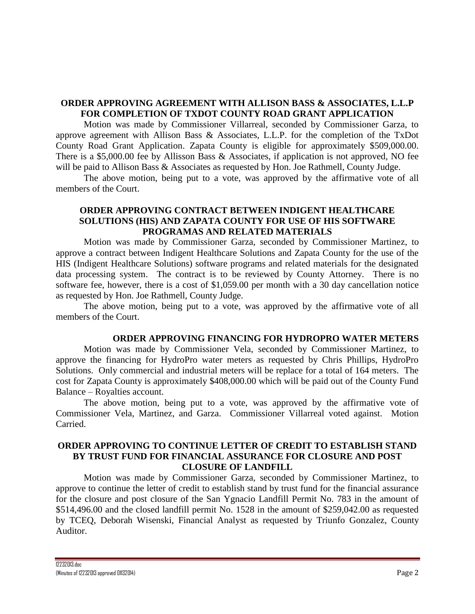# **ORDER APPROVING AGREEMENT WITH ALLISON BASS & ASSOCIATES, L.L.P FOR COMPLETION OF TXDOT COUNTY ROAD GRANT APPLICATION**

Motion was made by Commissioner Villarreal, seconded by Commissioner Garza, to approve agreement with Allison Bass & Associates, L.L.P. for the completion of the TxDot County Road Grant Application. Zapata County is eligible for approximately \$509,000.00. There is a \$5,000.00 fee by Allisson Bass & Associates, if application is not approved, NO fee will be paid to Allison Bass & Associates as requested by Hon. Joe Rathmell, County Judge.

The above motion, being put to a vote, was approved by the affirmative vote of all members of the Court.

# **ORDER APPROVING CONTRACT BETWEEN INDIGENT HEALTHCARE SOLUTIONS (HIS) AND ZAPATA COUNTY FOR USE OF HIS SOFTWARE PROGRAMAS AND RELATED MATERIALS**

Motion was made by Commissioner Garza, seconded by Commissioner Martinez, to approve a contract between Indigent Healthcare Solutions and Zapata County for the use of the HIS (Indigent Healthcare Solutions) software programs and related materials for the designated data processing system. The contract is to be reviewed by County Attorney. There is no software fee, however, there is a cost of \$1,059.00 per month with a 30 day cancellation notice as requested by Hon. Joe Rathmell, County Judge.

The above motion, being put to a vote, was approved by the affirmative vote of all members of the Court.

## **ORDER APPROVING FINANCING FOR HYDROPRO WATER METERS**

Motion was made by Commissioner Vela, seconded by Commissioner Martinez, to approve the financing for HydroPro water meters as requested by Chris Phillips, HydroPro Solutions. Only commercial and industrial meters will be replace for a total of 164 meters. The cost for Zapata County is approximately \$408,000.00 which will be paid out of the County Fund Balance – Royalties account.

The above motion, being put to a vote, was approved by the affirmative vote of Commissioner Vela, Martinez, and Garza. Commissioner Villarreal voted against. Motion Carried.

# **ORDER APPROVING TO CONTINUE LETTER OF CREDIT TO ESTABLISH STAND BY TRUST FUND FOR FINANCIAL ASSURANCE FOR CLOSURE AND POST CLOSURE OF LANDFILL**

Motion was made by Commissioner Garza, seconded by Commissioner Martinez, to approve to continue the letter of credit to establish stand by trust fund for the financial assurance for the closure and post closure of the San Ygnacio Landfill Permit No. 783 in the amount of \$514,496.00 and the closed landfill permit No. 1528 in the amount of \$259,042.00 as requested by TCEQ, Deborah Wisenski, Financial Analyst as requested by Triunfo Gonzalez, County Auditor.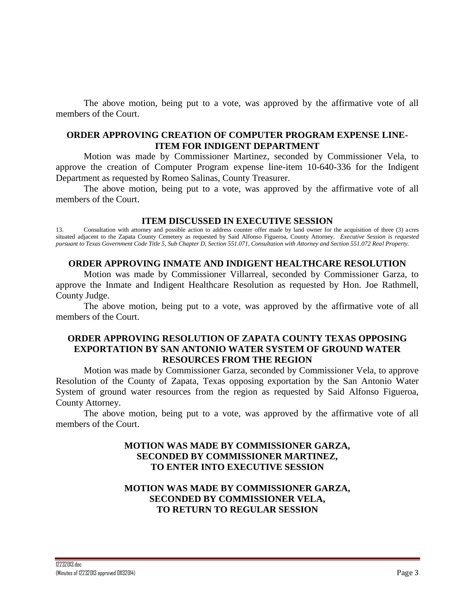The above motion, being put to a vote, was approved by the affirmative vote of all members of the Court.

#### **ORDER APPROVING CREATION OF COMPUTER PROGRAM EXPENSE LINE-ITEM FOR INDIGENT DEPARTMENT**

Motion was made by Commissioner Martinez, seconded by Commissioner Vela, to approve the creation of Computer Program expense line-item 10-640-336 for the Indigent Department as requested by Romeo Salinas, County Treasurer.

The above motion, being put to a vote, was approved by the affirmative vote of all members of the Court.

#### **ITEM DISCUSSED IN EXECUTIVE SESSION**

13. Consultation with attorney and possible action to address counter offer made by land owner for the acquisition of three (3) acres situated adjacent to the Zapata County Cemetery as requested by Said Alfonso Figueroa, County Attorney. *Executive Session is requested pursuant to Texas Government Code Title 5, Sub Chapter D, Section 551.071, Consultation with Attorney and Section 551.072 Real Property.*

#### **ORDER APPROVING INMATE AND INDIGENT HEALTHCARE RESOLUTION**

Motion was made by Commissioner Villarreal, seconded by Commissioner Garza, to approve the Inmate and Indigent Healthcare Resolution as requested by Hon. Joe Rathmell, County Judge.

The above motion, being put to a vote, was approved by the affirmative vote of all members of the Court.

# **ORDER APPROVING RESOLUTION OF ZAPATA COUNTY TEXAS OPPOSING EXPORTATION BY SAN ANTONIO WATER SYSTEM OF GROUND WATER RESOURCES FROM THE REGION**

Motion was made by Commissioner Garza, seconded by Commissioner Vela, to approve Resolution of the County of Zapata, Texas opposing exportation by the San Antonio Water System of ground water resources from the region as requested by Said Alfonso Figueroa, County Attorney.

The above motion, being put to a vote, was approved by the affirmative vote of all members of the Court.

# **MOTION WAS MADE BY COMMISSIONER GARZA, SECONDED BY COMMISSIONER MARTINEZ, TO ENTER INTO EXECUTIVE SESSION**

# **MOTION WAS MADE BY COMMISSIONER GARZA, SECONDED BY COMMISSIONER VELA, TO RETURN TO REGULAR SESSION**